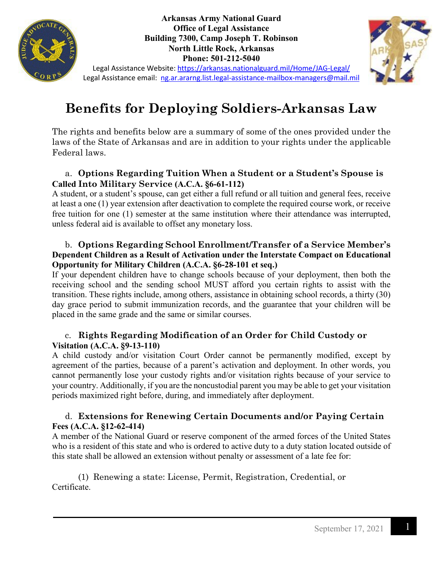

**Arkansas Army National Guard Office of Legal Assistance Building 7300, Camp Joseph T. Robinson North Little Rock, Arkansas Phone: 501-212-5040**



Legal Assistance Website:<https://arkansas.nationalguard.mil/Home/JAG-Legal/> Legal Assistance email: [ng.ar.ararng.list.legal-assistance-mailbox-managers@mail.mil](mailto:ng.ar.ararng.list.legal-assistance-mailbox-managers@mail.mil)

# **Benefits for Deploying Soldiers-Arkansas Law**

The rights and benefits below are a summary of some of the ones provided under the laws of the State of Arkansas and are in addition to your rights under the applicable Federal laws.

# a. **Options Regarding Tuition When a Student or a Student's Spouse is Called Into Military Service (A.C.A. §6-61-112)**

A student, or a student's spouse, can get either a full refund or all tuition and general fees, receive at least a one (1) year extension after deactivation to complete the required course work, or receive free tuition for one (1) semester at the same institution where their attendance was interrupted, unless federal aid is available to offset any monetary loss.

#### b. **Options Regarding School Enrollment/Transfer of a Service Member's Dependent Children as a Result of Activation under the Interstate Compact on Educational Opportunity for Military Children (A.C.A. §6-28-101 et seq.)**

If your dependent children have to change schools because of your deployment, then both the receiving school and the sending school MUST afford you certain rights to assist with the transition. These rights include, among others, assistance in obtaining school records, a thirty (30) day grace period to submit immunization records, and the guarantee that your children will be placed in the same grade and the same or similar courses.

#### c. **Rights Regarding Modification of an Order for Child Custody or Visitation (A.C.A. §9-13-110)**

A child custody and/or visitation Court Order cannot be permanently modified, except by agreement of the parties, because of a parent's activation and deployment. In other words, you cannot permanently lose your custody rights and/or visitation rights because of your service to your country. Additionally, if you are the noncustodial parent you may be able to get your visitation periods maximized right before, during, and immediately after deployment.

## d. **Extensions for Renewing Certain Documents and/or Paying Certain Fees (A.C.A. §12-62-414)**

A member of the National Guard or reserve component of the armed forces of the United States who is a resident of this state and who is ordered to active duty to a duty station located outside of this state shall be allowed an extension without penalty or assessment of a late fee for:

(1) Renewing a state: License, Permit, Registration, Credential, or Certificate.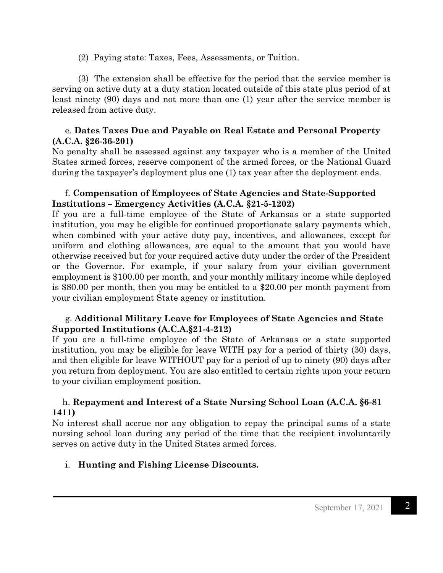(2) Paying state: Taxes, Fees, Assessments, or Tuition.

(3) The extension shall be effective for the period that the service member is serving on active duty at a duty station located outside of this state plus period of at least ninety (90) days and not more than one (1) year after the service member is released from active duty.

### e. **Dates Taxes Due and Payable on Real Estate and Personal Property (A.C.A. §26-36-201)**

No penalty shall be assessed against any taxpayer who is a member of the United States armed forces, reserve component of the armed forces, or the National Guard during the taxpayer's deployment plus one (1) tax year after the deployment ends.

#### f. **Compensation of Employees of State Agencies and State-Supported Institutions – Emergency Activities (A.C.A. §21-5-1202)**

If you are a full-time employee of the State of Arkansas or a state supported institution, you may be eligible for continued proportionate salary payments which, when combined with your active duty pay, incentives, and allowances, except for uniform and clothing allowances, are equal to the amount that you would have otherwise received but for your required active duty under the order of the President or the Governor. For example, if your salary from your civilian government employment is \$100.00 per month, and your monthly military income while deployed is \$80.00 per month, then you may be entitled to a \$20.00 per month payment from your civilian employment State agency or institution.

#### g. **Additional Military Leave for Employees of State Agencies and State Supported Institutions (A.C.A.§21-4-212)**

If you are a full-time employee of the State of Arkansas or a state supported institution, you may be eligible for leave WITH pay for a period of thirty (30) days, and then eligible for leave WITHOUT pay for a period of up to ninety (90) days after you return from deployment. You are also entitled to certain rights upon your return to your civilian employment position.

## h. **Repayment and Interest of a State Nursing School Loan (A.C.A. §6-81 1411)**

No interest shall accrue nor any obligation to repay the principal sums of a state nursing school loan during any period of the time that the recipient involuntarily serves on active duty in the United States armed forces.

# i. **Hunting and Fishing License Discounts.**